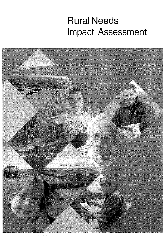# **Rural Needs Impact Assessment**

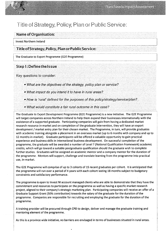## Title of Strategy, Policy, Plan or Public Service:

### Name of Organisation:

Invest Northern Ireland

## Title ofStrategy, Policy, Plan or PublicService:

The Graduate to Export Programme (G2E Programme)

## Step 1: Definethelssue

Key questions to consider:

- What are the objectives of the strategy, policy plan or service?
- What impact do you intend it to have in rural areas?
- How is 'rural' defined for the purposes of this policy/strategy/service/plan?
- What would constitute a fair rural outcome in this case?

The Graduate to Export Development Programme (G2E Programme) is a new initiative The G2E Programme will target companies across Northern Ireland to help them expand their businesses internationally with the assistance of <sup>a</sup> supported graduate. Participating companies will gain from having <sup>a</sup> dedicated market research resource in-market and on completion of the graduate intervention, they will have an export development / market entry plan for their chosen market. The Programme, in turn, will provide graduates with academic training alongside a placement in an overseas market (up to 6 months with company and up to 12 months in-market). Graduate participants will be offered <sup>a</sup> valuable opportunity to gain practical experience and business skills in international business development. On successful completion of the programme, the graduate will be awarded <sup>a</sup> number of Level 7 (National Qualification Framework) academic credits, which will go toward <sup>a</sup> suitable postgraduate qualification should the graduate wish to complete further studies. Graduates will be assigned an academic mentor and a company mentor for the duration of the programme. Mentors will support, challenge and translate learning from the programme into practical use, in-market.

The G2E Programme will comprise of up to <sup>3</sup> cohorts of 15 recent graduates per cohort. It is anticipated that the programme will run over <sup>a</sup> period of 4 years with each cohort lasting 18 months subject to budgetary constraints and satisfactory performance.

The programme is open to Invest NI account managed clients who are able to demonstrate that they have the commitment and resources to participate on the programme as well as having a specific market research project, aligned to their company's strategic marketing plan. Participating companies will receive an offer of <sup>a</sup> Graduate Support Grant (50% contribution) towards the salary of the graduate for the duration of the programme. Companies are responsible for recruiting and employing the graduate for the duration of the programme.

<sup>A</sup> training provider will be procured through CPD to design, deliver and manage the graduate training and mentoring element of the programme.

As this is <sup>a</sup> province wide initiative, no barriers are envisaged in terms of businesses situated in rural areas.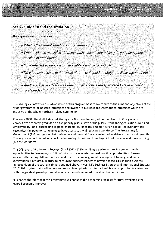

## Step 2: Understand the situation

Key questions to consider

- What is the current situation in rural areas?
- What evidence (statistics, data, research, stakeholder advice) do you have about the position in rural areas?
- If the relevant evidence is not available, can this be sourced?
- Do you have access to the views of rural stakeholders about the likely impact of the policy?
- Are there existing design features or mitigations already in place to take account of rural needs?

The strategic context for the introduction of this programme is to contribute to the aims and objectives of the wider governmental industrial strategies and Invest Ni's business and international strategies which are inclusive of the whole Northern Ireland community

Economy 2030 - the draft Industrial Strategy for Northern Ireland, sets out a plan to build a globally competitive economy, grounded on five priority pillars. Two of the pillars - "enhancing education, skills and employability" and "succeeding in global markets" outlines the ambition for an export—led economy and recognises the need for companies to have access to a well-educated workforce The Programme for Government (PIG) recognises that businesses and the workforce remain the key drivers of economic growth The key drivers of this outcome include improving the skills and employability of those in, and those wishing to join the workforce.

The DfE report, 'Graduate to Success' (April 2012- 2020), outlines <sup>a</sup> desire to 'provide students with opportunities to develop a portfolio of skills, to include international mobility opportunities'. Research indicates that many SMEs are not inclined to invest in management development training, and market intervention is required, in order to encourage business leaders to develop these skills in their business In recognition of the strategic drivers outlined above, Invest NI's Business Strategy and International Strategy 2017-2021 states that it will renew and redouble emphasis on International Trade support for its customers with the greatest growth potential to access the skills required to realise their ambitions

It is hoped therefore that this programme will enhance the economic prospects for rural dwellers as the overall economy improves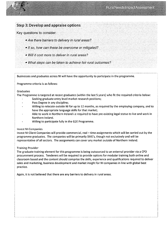

Key questions to consider:

- Are there barriers to delivery in rural areas?
- If so, how can these be overcome or mitigated?
- Will it cost more to deliver in rural areas?
- What steps can be taken to achieve fair rural outcomes?

Businesses and graduates across NI will have the opportunity to participate in the programme.

Programme criteria is as follows.

#### Graduates

The Programme is targeted at recent graduates (within the last 5 years) who fit the required criteria below:

- Seeking graduate entry level market research positions;
- Pass Degree in any discipline;
- Willing to relocate outside NI for up to 12 months, as required by the employing company, and to have the appropriate language skills for that market;
- Able to work in Northern Ireland i.e required to have pre-existing legal status to live and work in Northern Ireland
- Willing to participate fully in the 62E Programme.

#### Invest NI Companies

Invest NI Client Companies will provide commercial, real — time assignments which will be carried out by the programme graduates. The companies will be primarily SME's, though not exclusively and will be representative of all sectors. The assignments can cover any market outside of Northern Ireland.

#### Training Provider

The graduate training element for this programme is being outsourced to an external provider via a CPD procurement process. Tenderers will be required to provide options for modular training both online and classroom based and the content should comprise the skills, experience and qualifications required to deliver sales and marketing, business development and market insight for NI companies in line with global best practice.

Again, it is not believed that there are any barriers to delivery in rural areas.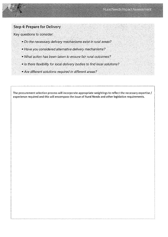

## Step 4: Prepare for Delivery

Key questions to consider:

- Do the necessary delivery mechanisms exist in rural areas?
- Have you considered alternative delivery mechanisms?
- What action has been taken to ensure fair rural outcomes?
- Is there flexibility for local delivery bodies to find local solutions?
- Are different solutions required in different areas?

The procurement selection process will incorporate appropriate weightings to reflect the necessary expertise / experience required and this will encompass the issue of Rural Needs and other legislative requirements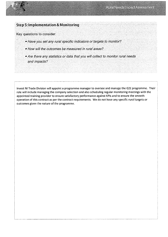## Step 5: Implementation & Monitoring

Key questions to consider:

- Have you set any rural specific indicators or targets to monitor?
- How will the outcomes be measured in rural areas?
- Are there any statistics or data that you will collect to monitor rural needs and impacts?

Invest NI Trade Division will appoint a programme manager to oversee and manage the G2E programme. Their role will include managing the company selection and also scheduling regular monitoring meetings with the appointed training provider to ensure satisfactory performance against KPIs and to ensure the smooth operation of this contract as per the contract requirements. We do not have any specific rural targets or outcomes given the nature of the programme